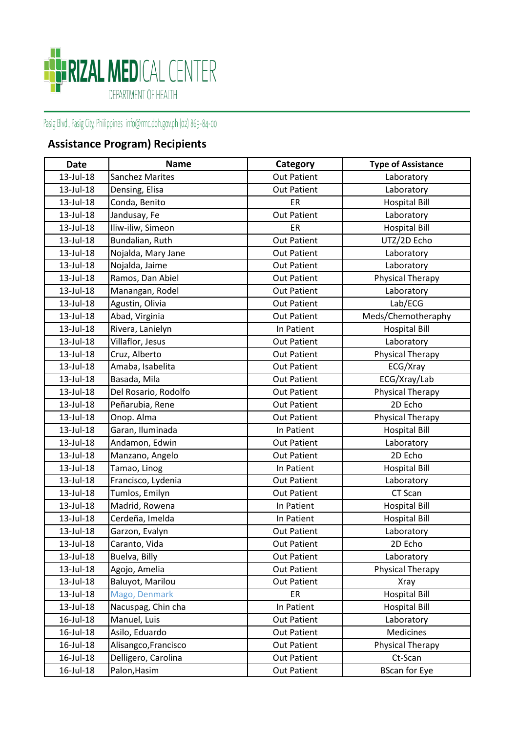

## Pasig Blvd., Pasig City, Philippines info@rmc.doh.gov.ph (02) 865-84-00

## **Assistance Program) Recipients**

| <b>Date</b> | <b>Name</b>            | Category           | <b>Type of Assistance</b> |
|-------------|------------------------|--------------------|---------------------------|
| 13-Jul-18   | <b>Sanchez Marites</b> | <b>Out Patient</b> | Laboratory                |
| 13-Jul-18   | Densing, Elisa         | <b>Out Patient</b> | Laboratory                |
| 13-Jul-18   | Conda, Benito          | ER                 | <b>Hospital Bill</b>      |
| 13-Jul-18   | Jandusay, Fe           | <b>Out Patient</b> | Laboratory                |
| 13-Jul-18   | Iliw-iliw, Simeon      | ER                 | <b>Hospital Bill</b>      |
| 13-Jul-18   | Bundalian, Ruth        | <b>Out Patient</b> | UTZ/2D Echo               |
| 13-Jul-18   | Nojalda, Mary Jane     | <b>Out Patient</b> | Laboratory                |
| 13-Jul-18   | Nojalda, Jaime         | <b>Out Patient</b> | Laboratory                |
| 13-Jul-18   | Ramos, Dan Abiel       | <b>Out Patient</b> | Physical Therapy          |
| 13-Jul-18   | Manangan, Rodel        | <b>Out Patient</b> | Laboratory                |
| 13-Jul-18   | Agustin, Olivia        | <b>Out Patient</b> | Lab/ECG                   |
| 13-Jul-18   | Abad, Virginia         | <b>Out Patient</b> | Meds/Chemotheraphy        |
| 13-Jul-18   | Rivera, Lanielyn       | In Patient         | <b>Hospital Bill</b>      |
| 13-Jul-18   | Villaflor, Jesus       | <b>Out Patient</b> | Laboratory                |
| 13-Jul-18   | Cruz, Alberto          | <b>Out Patient</b> | <b>Physical Therapy</b>   |
| 13-Jul-18   | Amaba, Isabelita       | <b>Out Patient</b> | ECG/Xray                  |
| 13-Jul-18   | Basada, Mila           | <b>Out Patient</b> | ECG/Xray/Lab              |
| 13-Jul-18   | Del Rosario, Rodolfo   | <b>Out Patient</b> | Physical Therapy          |
| 13-Jul-18   | Peñarubia, Rene        | <b>Out Patient</b> | 2D Echo                   |
| 13-Jul-18   | Onop. Alma             | <b>Out Patient</b> | Physical Therapy          |
| 13-Jul-18   | Garan, Iluminada       | In Patient         | <b>Hospital Bill</b>      |
| 13-Jul-18   | Andamon, Edwin         | <b>Out Patient</b> | Laboratory                |
| 13-Jul-18   | Manzano, Angelo        | <b>Out Patient</b> | 2D Echo                   |
| 13-Jul-18   | Tamao, Linog           | In Patient         | <b>Hospital Bill</b>      |
| 13-Jul-18   | Francisco, Lydenia     | <b>Out Patient</b> | Laboratory                |
| 13-Jul-18   | Tumlos, Emilyn         | <b>Out Patient</b> | CT Scan                   |
| 13-Jul-18   | Madrid, Rowena         | In Patient         | <b>Hospital Bill</b>      |
| 13-Jul-18   | Cerdeña, Imelda        | In Patient         | <b>Hospital Bill</b>      |
| 13-Jul-18   | Garzon, Evalyn         | <b>Out Patient</b> | Laboratory                |
| 13-Jul-18   | Caranto, Vida          | <b>Out Patient</b> | 2D Echo                   |
| 13-Jul-18   | Buelva, Billy          | <b>Out Patient</b> | Laboratory                |
| 13-Jul-18   | Agojo, Amelia          | <b>Out Patient</b> | Physical Therapy          |
| 13-Jul-18   | Baluyot, Marilou       | <b>Out Patient</b> | <b>Xray</b>               |
| 13-Jul-18   | Mago, Denmark          | ER                 | <b>Hospital Bill</b>      |
| 13-Jul-18   | Nacuspag, Chin cha     | In Patient         | <b>Hospital Bill</b>      |
| 16-Jul-18   | Manuel, Luis           | <b>Out Patient</b> | Laboratory                |
| 16-Jul-18   | Asilo, Eduardo         | <b>Out Patient</b> | Medicines                 |
| 16-Jul-18   | Alisangco, Francisco   | <b>Out Patient</b> | Physical Therapy          |
| 16-Jul-18   | Delligero, Carolina    | <b>Out Patient</b> | Ct-Scan                   |
| 16-Jul-18   | Palon, Hasim           | <b>Out Patient</b> | <b>BScan for Eye</b>      |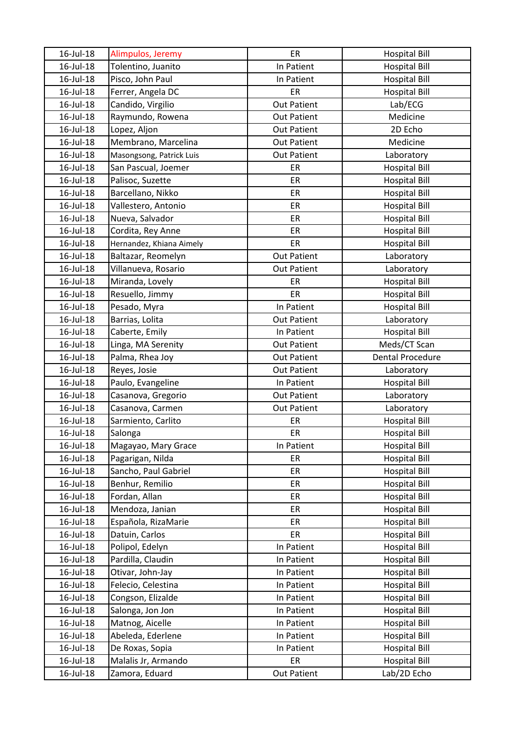| 16-Jul-18 | Alimpulos, Jeremy        | ER                 | <b>Hospital Bill</b>    |
|-----------|--------------------------|--------------------|-------------------------|
| 16-Jul-18 | Tolentino, Juanito       | In Patient         | <b>Hospital Bill</b>    |
| 16-Jul-18 | Pisco, John Paul         | In Patient         | <b>Hospital Bill</b>    |
| 16-Jul-18 | Ferrer, Angela DC        | ER                 | <b>Hospital Bill</b>    |
| 16-Jul-18 | Candido, Virgilio        | <b>Out Patient</b> | Lab/ECG                 |
| 16-Jul-18 | Raymundo, Rowena         | <b>Out Patient</b> | Medicine                |
| 16-Jul-18 | Lopez, Aljon             | <b>Out Patient</b> | 2D Echo                 |
| 16-Jul-18 | Membrano, Marcelina      | <b>Out Patient</b> | Medicine                |
| 16-Jul-18 | Masongsong, Patrick Luis | <b>Out Patient</b> | Laboratory              |
| 16-Jul-18 | San Pascual, Joemer      | ER                 | <b>Hospital Bill</b>    |
| 16-Jul-18 | Palisoc, Suzette         | ER                 | <b>Hospital Bill</b>    |
| 16-Jul-18 | Barcellano, Nikko        | ER                 | <b>Hospital Bill</b>    |
| 16-Jul-18 | Vallestero, Antonio      | ER                 | <b>Hospital Bill</b>    |
| 16-Jul-18 | Nueva, Salvador          | ER                 | <b>Hospital Bill</b>    |
| 16-Jul-18 | Cordita, Rey Anne        | ER                 | <b>Hospital Bill</b>    |
| 16-Jul-18 | Hernandez, Khiana Aimely | ER                 | <b>Hospital Bill</b>    |
| 16-Jul-18 | Baltazar, Reomelyn       | <b>Out Patient</b> | Laboratory              |
| 16-Jul-18 | Villanueva, Rosario      | <b>Out Patient</b> | Laboratory              |
| 16-Jul-18 | Miranda, Lovely          | ER                 | <b>Hospital Bill</b>    |
| 16-Jul-18 | Resuello, Jimmy          | ER                 | <b>Hospital Bill</b>    |
| 16-Jul-18 | Pesado, Myra             | In Patient         | <b>Hospital Bill</b>    |
| 16-Jul-18 | Barrias, Lolita          | <b>Out Patient</b> | Laboratory              |
| 16-Jul-18 | Caberte, Emily           | In Patient         | <b>Hospital Bill</b>    |
| 16-Jul-18 | Linga, MA Serenity       | <b>Out Patient</b> | Meds/CT Scan            |
| 16-Jul-18 | Palma, Rhea Joy          | <b>Out Patient</b> | <b>Dental Procedure</b> |
| 16-Jul-18 | Reyes, Josie             | <b>Out Patient</b> | Laboratory              |
| 16-Jul-18 | Paulo, Evangeline        | In Patient         | <b>Hospital Bill</b>    |
| 16-Jul-18 | Casanova, Gregorio       | <b>Out Patient</b> | Laboratory              |
| 16-Jul-18 | Casanova, Carmen         | <b>Out Patient</b> | Laboratory              |
| 16-Jul-18 | Sarmiento, Carlito       | ER                 | <b>Hospital Bill</b>    |
| 16-Jul-18 | Salonga                  | ER                 | <b>Hospital Bill</b>    |
| 16-Jul-18 | Magayao, Mary Grace      | In Patient         | <b>Hospital Bill</b>    |
| 16-Jul-18 | Pagarigan, Nilda         | ER                 | <b>Hospital Bill</b>    |
| 16-Jul-18 | Sancho, Paul Gabriel     | ER                 | <b>Hospital Bill</b>    |
| 16-Jul-18 | Benhur, Remilio          | ER                 | <b>Hospital Bill</b>    |
| 16-Jul-18 | Fordan, Allan            | ER                 | <b>Hospital Bill</b>    |
| 16-Jul-18 | Mendoza, Janian          | ER                 | <b>Hospital Bill</b>    |
| 16-Jul-18 | Española, RizaMarie      | ER                 | <b>Hospital Bill</b>    |
| 16-Jul-18 | Datuin, Carlos           | ER                 | <b>Hospital Bill</b>    |
| 16-Jul-18 | Polipol, Edelyn          | In Patient         | <b>Hospital Bill</b>    |
| 16-Jul-18 | Pardilla, Claudin        | In Patient         | <b>Hospital Bill</b>    |
| 16-Jul-18 | Otivar, John-Jay         | In Patient         | <b>Hospital Bill</b>    |
| 16-Jul-18 | Felecio, Celestina       | In Patient         | <b>Hospital Bill</b>    |
| 16-Jul-18 | Congson, Elizalde        | In Patient         | <b>Hospital Bill</b>    |
| 16-Jul-18 | Salonga, Jon Jon         | In Patient         | <b>Hospital Bill</b>    |
| 16-Jul-18 | Matnog, Aicelle          | In Patient         | <b>Hospital Bill</b>    |
| 16-Jul-18 | Abeleda, Ederlene        | In Patient         | <b>Hospital Bill</b>    |
| 16-Jul-18 | De Roxas, Sopia          | In Patient         | <b>Hospital Bill</b>    |
| 16-Jul-18 | Malalis Jr, Armando      | ER                 | <b>Hospital Bill</b>    |
| 16-Jul-18 | Zamora, Eduard           | <b>Out Patient</b> | Lab/2D Echo             |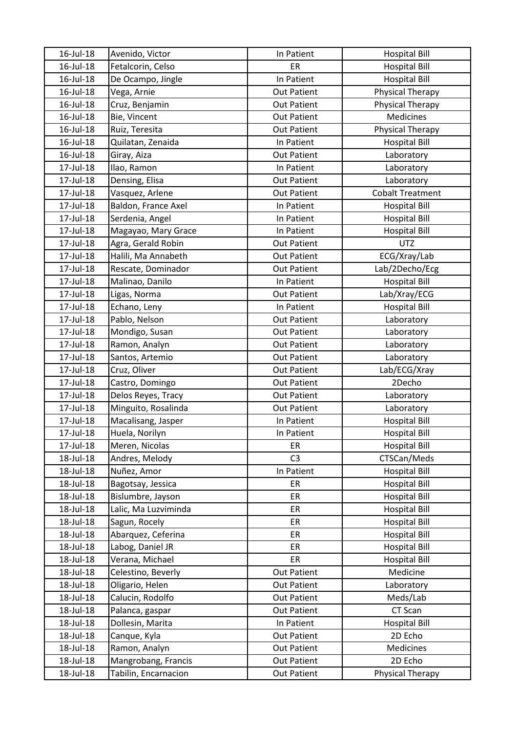| 16-Jul-18 | Avenido, Victor      | In Patient         | <b>Hospital Bill</b>    |
|-----------|----------------------|--------------------|-------------------------|
| 16-Jul-18 | Fetalcorin, Celso    | ER                 | <b>Hospital Bill</b>    |
| 16-Jul-18 | De Ocampo, Jingle    | In Patient         | <b>Hospital Bill</b>    |
| 16-Jul-18 | Vega, Arnie          | <b>Out Patient</b> | Physical Therapy        |
| 16-Jul-18 | Cruz, Benjamin       | <b>Out Patient</b> | Physical Therapy        |
| 16-Jul-18 | Bie, Vincent         | Out Patient        | Medicines               |
| 16-Jul-18 | Ruiz, Teresita       | <b>Out Patient</b> | <b>Physical Therapy</b> |
| 16-Jul-18 | Quilatan, Zenaida    | In Patient         | <b>Hospital Bill</b>    |
| 16-Jul-18 | Giray, Aiza          | <b>Out Patient</b> | Laboratory              |
| 17-Jul-18 | Ilao, Ramon          | In Patient         | Laboratory              |
| 17-Jul-18 | Densing, Elisa       | <b>Out Patient</b> | Laboratory              |
| 17-Jul-18 | Vasquez, Arlene      | <b>Out Patient</b> | <b>Cobalt Treatment</b> |
| 17-Jul-18 | Baldon, France Axel  | In Patient         | <b>Hospital Bill</b>    |
| 17-Jul-18 | Serdenia, Angel      | In Patient         | <b>Hospital Bill</b>    |
| 17-Jul-18 | Magayao, Mary Grace  | In Patient         | <b>Hospital Bill</b>    |
| 17-Jul-18 | Agra, Gerald Robin   | <b>Out Patient</b> | <b>UTZ</b>              |
| 17-Jul-18 | Halili, Ma Annabeth  | <b>Out Patient</b> | ECG/Xray/Lab            |
| 17-Jul-18 | Rescate, Dominador   | <b>Out Patient</b> | Lab/2Decho/Ecg          |
| 17-Jul-18 | Malinao, Danilo      | In Patient         | <b>Hospital Bill</b>    |
| 17-Jul-18 | Ligas, Norma         | <b>Out Patient</b> | Lab/Xray/ECG            |
| 17-Jul-18 | Echano, Leny         | In Patient         | <b>Hospital Bill</b>    |
| 17-Jul-18 | Pablo, Nelson        | <b>Out Patient</b> | Laboratory              |
| 17-Jul-18 | Mondigo, Susan       | <b>Out Patient</b> | Laboratory              |
| 17-Jul-18 | Ramon, Analyn        | <b>Out Patient</b> | Laboratory              |
| 17-Jul-18 | Santos, Artemio      | Out Patient        | Laboratory              |
| 17-Jul-18 | Cruz, Oliver         | <b>Out Patient</b> | Lab/ECG/Xray            |
| 17-Jul-18 | Castro, Domingo      | <b>Out Patient</b> | 2Decho                  |
| 17-Jul-18 | Delos Reyes, Tracy   | <b>Out Patient</b> | Laboratory              |
| 17-Jul-18 | Minguito, Rosalinda  | <b>Out Patient</b> | Laboratory              |
| 17-Jul-18 | Macalisang, Jasper   | In Patient         | <b>Hospital Bill</b>    |
| 17-Jul-18 | Huela, Norilyn       | In Patient         | <b>Hospital Bill</b>    |
| 17-Jul-18 | Meren, Nicolas       | ER                 | <b>Hospital Bill</b>    |
| 18-Jul-18 | Andres, Melody       | C <sub>3</sub>     | CTSCan/Meds             |
| 18-Jul-18 | Nuñez, Amor          | In Patient         | <b>Hospital Bill</b>    |
| 18-Jul-18 | Bagotsay, Jessica    | ER                 | <b>Hospital Bill</b>    |
| 18-Jul-18 | Bislumbre, Jayson    | ER                 | <b>Hospital Bill</b>    |
| 18-Jul-18 | Lalic, Ma Luzviminda | ER                 | <b>Hospital Bill</b>    |
| 18-Jul-18 | Sagun, Rocely        | ER                 | <b>Hospital Bill</b>    |
| 18-Jul-18 | Abarquez, Ceferina   | ER                 | <b>Hospital Bill</b>    |
| 18-Jul-18 | Labog, Daniel JR     | ER                 | <b>Hospital Bill</b>    |
| 18-Jul-18 | Verana, Michael      | ER                 | <b>Hospital Bill</b>    |
| 18-Jul-18 | Celestino, Beverly   | <b>Out Patient</b> | Medicine                |
| 18-Jul-18 | Oligario, Helen      | <b>Out Patient</b> | Laboratory              |
| 18-Jul-18 | Calucin, Rodolfo     | <b>Out Patient</b> | Meds/Lab                |
| 18-Jul-18 | Palanca, gaspar      | <b>Out Patient</b> | CT Scan                 |
| 18-Jul-18 | Dollesin, Marita     | In Patient         | <b>Hospital Bill</b>    |
| 18-Jul-18 | Canque, Kyla         | <b>Out Patient</b> | 2D Echo                 |
| 18-Jul-18 | Ramon, Analyn        | <b>Out Patient</b> | Medicines               |
| 18-Jul-18 | Mangrobang, Francis  | Out Patient        | 2D Echo                 |
| 18-Jul-18 | Tabilin, Encarnacion | Out Patient        | Physical Therapy        |